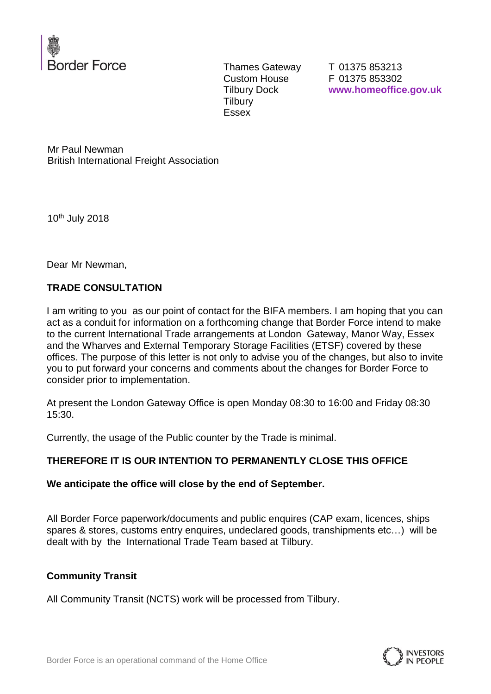

Thames Gateway Custom House Tilbury Dock **Tilbury** Essex

T 01375 853213 F 01375 853302 **www.homeoffice.gov.uk**

Mr Paul Newman British International Freight Association

10th July 2018

Dear Mr Newman,

### **TRADE CONSULTATION**

I am writing to you as our point of contact for the BIFA members. I am hoping that you can act as a conduit for information on a forthcoming change that Border Force intend to make to the current International Trade arrangements at London Gateway, Manor Way, Essex and the Wharves and External Temporary Storage Facilities (ETSF) covered by these offices. The purpose of this letter is not only to advise you of the changes, but also to invite you to put forward your concerns and comments about the changes for Border Force to consider prior to implementation.

At present the London Gateway Office is open Monday 08:30 to 16:00 and Friday 08:30 15:30.

Currently, the usage of the Public counter by the Trade is minimal.

### **THEREFORE IT IS OUR INTENTION TO PERMANENTLY CLOSE THIS OFFICE**

### **We anticipate the office will close by the end of September.**

All Border Force paperwork/documents and public enquires (CAP exam, licences, ships spares & stores, customs entry enquires, undeclared goods, transhipments etc…) will be dealt with by the International Trade Team based at Tilbury.

### **Community Transit**

All Community Transit (NCTS) work will be processed from Tilbury.